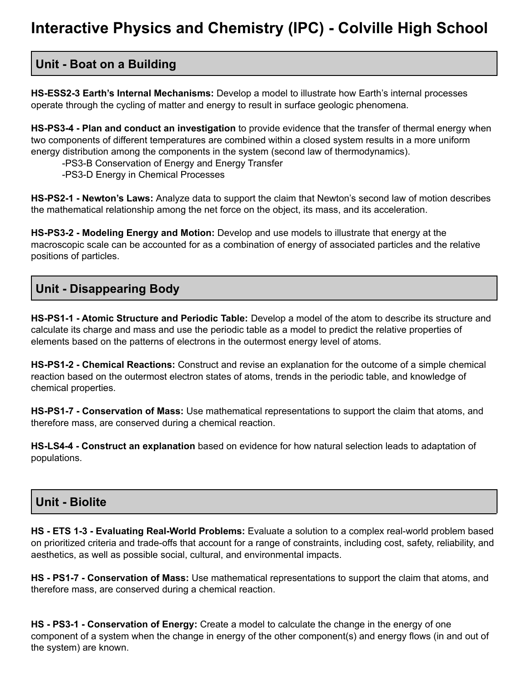## **Unit - Boat on a Building**

**HS-ESS2-3 Earth's Internal Mechanisms:** Develop a model to illustrate how Earth's internal processes operate through the cycling of matter and energy to result in surface geologic phenomena.

**HS-PS3-4 - Plan and conduct an investigation** to provide evidence that the transfer of thermal energy when two components of different temperatures are combined within a closed system results in a more uniform energy distribution among the components in the system (second law of thermodynamics).

-PS3-B Conservation of Energy and Energy Transfer

-PS3-D Energy in Chemical Processes

**HS-PS2-1 - Newton's Laws:** Analyze data to support the claim that Newton's second law of motion describes the mathematical relationship among the net force on the object, its mass, and its acceleration.

**HS-PS3-2 - Modeling Energy and Motion:** Develop and use models to illustrate that energy at the macroscopic scale can be accounted for as a combination of energy of associated particles and the relative positions of particles.

# **Unit - Disappearing Body**

**HS-PS1-1 - Atomic Structure and Periodic Table:** Develop a model of the atom to describe its structure and calculate its charge and mass and use the periodic table as a model to predict the relative properties of elements based on the patterns of electrons in the outermost energy level of atoms.

**HS-PS1-2 - Chemical Reactions:** Construct and revise an explanation for the outcome of a simple chemical reaction based on the outermost electron states of atoms, trends in the periodic table, and knowledge of chemical properties.

**HS-PS1-7 - Conservation of Mass:** Use mathematical representations to support the claim that atoms, and therefore mass, are conserved during a chemical reaction.

**HS-LS4-4 - Construct an explanation** based on evidence for how natural selection leads to adaptation of populations.

#### **Unit - Biolite**

**HS - ETS 1-3 - Evaluating Real-World Problems:** Evaluate a solution to a complex real-world problem based on prioritized criteria and trade-offs that account for a range of constraints, including cost, safety, reliability, and aesthetics, as well as possible social, cultural, and environmental impacts.

**HS - PS1-7 - Conservation of Mass:** Use mathematical representations to support the claim that atoms, and therefore mass, are conserved during a chemical reaction.

**HS - PS3-1 - Conservation of Energy:** Create a model to calculate the change in the energy of one component of a system when the change in energy of the other component(s) and energy flows (in and out of the system) are known.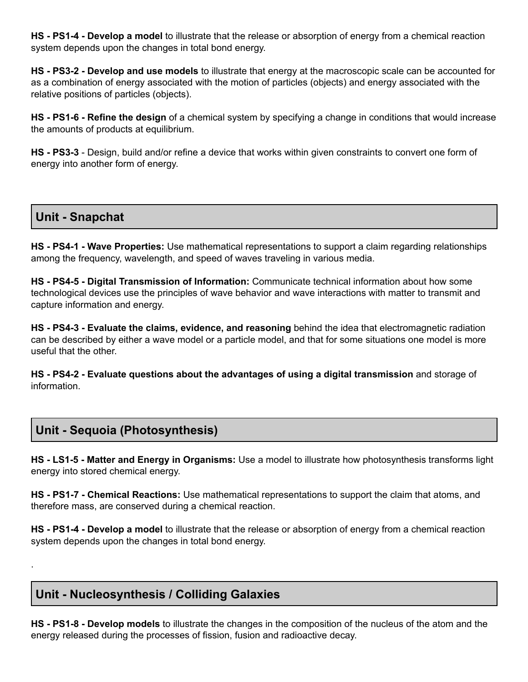**HS - PS1-4 - Develop a model** to illustrate that the release or absorption of energy from a chemical reaction system depends upon the changes in total bond energy.

**HS - PS3-2 - Develop and use models** to illustrate that energy at the macroscopic scale can be accounted for as a combination of energy associated with the motion of particles (objects) and energy associated with the relative positions of particles (objects).

**HS - PS1-6 - Refine the design** of a chemical system by specifying a change in conditions that would increase the amounts of products at equilibrium.

**HS - PS3-3** - Design, build and/or refine a device that works within given constraints to convert one form of energy into another form of energy.

#### **Unit - Snapchat**

.

**HS - PS4-1 - Wave Properties:** Use mathematical representations to support a claim regarding relationships among the frequency, wavelength, and speed of waves traveling in various media.

**HS - PS4-5 - Digital Transmission of Information:** Communicate technical information about how some technological devices use the principles of wave behavior and wave interactions with matter to transmit and capture information and energy.

**HS - PS4-3 - Evaluate the claims, evidence, and reasoning** behind the idea that electromagnetic radiation can be described by either a wave model or a particle model, and that for some situations one model is more useful that the other.

**HS - PS4-2 - Evaluate questions about the advantages of using a digital transmission** and storage of information.

# **Unit - Sequoia (Photosynthesis)**

**HS - LS1-5 - Matter and Energy in Organisms:** Use a model to illustrate how photosynthesis transforms light energy into stored chemical energy.

**HS - PS1-7 - Chemical Reactions:** Use mathematical representations to support the claim that atoms, and therefore mass, are conserved during a chemical reaction.

**HS - PS1-4 - Develop a model** to illustrate that the release or absorption of energy from a chemical reaction system depends upon the changes in total bond energy.

## **Unit - Nucleosynthesis / Colliding Galaxies**

**HS - PS1-8 - Develop models** to illustrate the changes in the composition of the nucleus of the atom and the energy released during the processes of fission, fusion and radioactive decay.